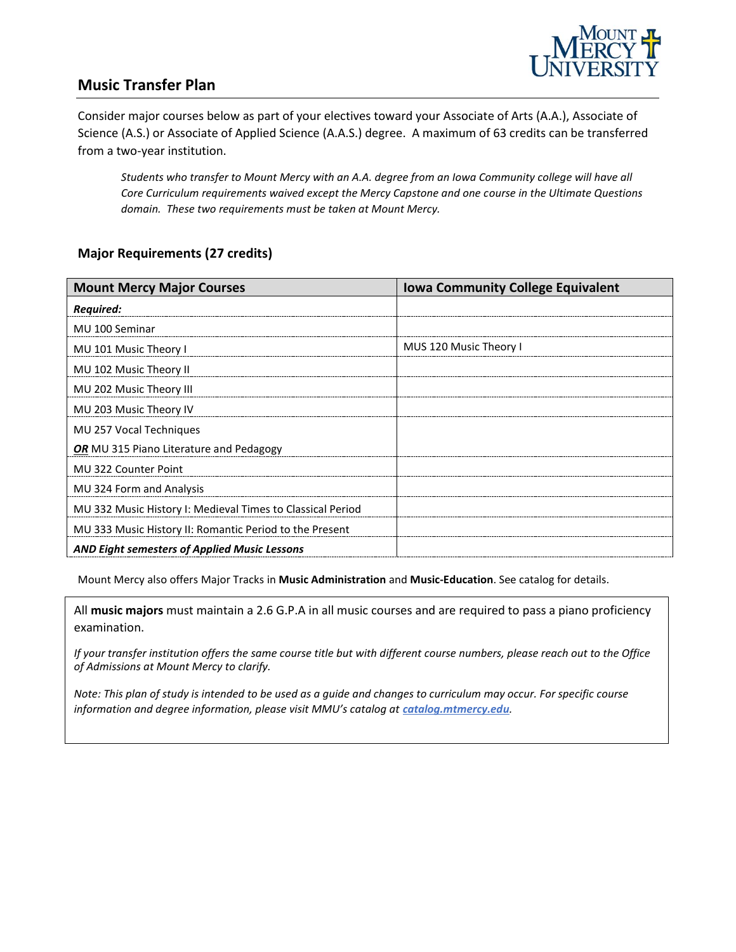

### **Music Transfer Plan**

Consider major courses below as part of your electives toward your Associate of Arts (A.A.), Associate of Science (A.S.) or Associate of Applied Science (A.A.S.) degree. A maximum of 63 credits can be transferred from a two-year institution.

*Students who transfer to Mount Mercy with an A.A. degree from an Iowa Community college will have all Core Curriculum requirements waived except the Mercy Capstone and one course in the Ultimate Questions domain. These two requirements must be taken at Mount Mercy.* 

#### **Major Requirements (27 credits)**

| <b>Mount Mercy Major Courses</b>                           | <b>Iowa Community College Equivalent</b> |
|------------------------------------------------------------|------------------------------------------|
| Required:                                                  |                                          |
| MU 100 Seminar                                             |                                          |
| MU 101 Music Theory I                                      | MUS 120 Music Theory I                   |
| MU 102 Music Theory II                                     |                                          |
| MU 202 Music Theory III                                    |                                          |
| MU 203 Music Theory IV                                     |                                          |
| MU 257 Vocal Techniques                                    |                                          |
| OR MU 315 Piano Literature and Pedagogy                    |                                          |
| MU 322 Counter Point                                       |                                          |
| MU 324 Form and Analysis                                   |                                          |
| MU 332 Music History I: Medieval Times to Classical Period |                                          |
| MU 333 Music History II: Romantic Period to the Present    |                                          |
| <b>AND Eight semesters of Applied Music Lessons</b>        |                                          |

Mount Mercy also offers Major Tracks in **Music Administration** and **Music-Education**. See catalog for details.

All **music majors** must maintain a 2.6 G.P.A in all music courses and are required to pass a piano proficiency examination.

*If your transfer institution offers the same course title but with different course numbers, please reach out to the Office of Admissions at Mount Mercy to clarify.*

*Note: This plan of study is intended to be used as a guide and changes to curriculum may occur. For specific course*  information and degree information, please visit MMU's catalog at **catalog.mtmercy.edu**.